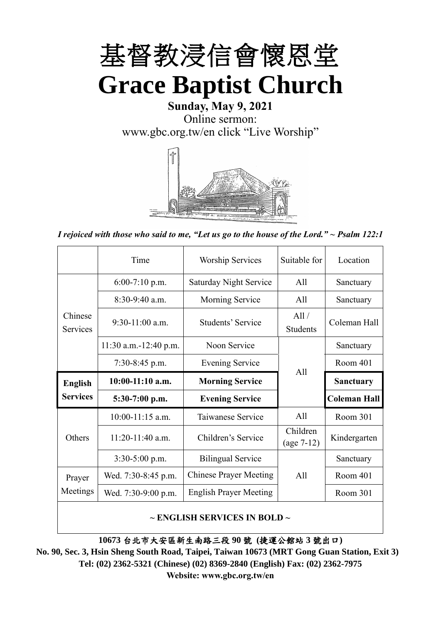

## **Sunday, May 9, 2021** Online sermon: [www.gbc.org.tw/en](http://www.gbc.org.tw/en) click "Live Worship"



*I rejoiced with those who said to me, "Let us go to the house of the Lord." ~ Psalm 122:1*

|                            | Time                  | <b>Worship Services</b>       | Suitable for             | Location            |
|----------------------------|-----------------------|-------------------------------|--------------------------|---------------------|
|                            | $6:00-7:10$ p.m.      | <b>Saturday Night Service</b> | All                      | Sanctuary           |
|                            | $8:30-9:40$ a.m.      | <b>Morning Service</b>        | All                      | Sanctuary           |
| Chinese<br><b>Services</b> | $9:30-11:00$ a.m.     | Students' Service             | All /<br><b>Students</b> | Coleman Hall        |
|                            | 11:30 a.m.-12:40 p.m. | Noon Service                  |                          | Sanctuary           |
|                            | $7:30-8:45$ p.m.      | <b>Evening Service</b>        | All                      | Room 401            |
|                            |                       |                               |                          |                     |
| <b>English</b>             | $10:00-11:10$ a.m.    | <b>Morning Service</b>        |                          | <b>Sanctuary</b>    |
| <b>Services</b>            | $5:30-7:00$ p.m.      | <b>Evening Service</b>        |                          | <b>Coleman Hall</b> |
|                            | $10:00-11:15$ a.m.    | Taiwanese Service             | A11                      | Room 301            |
| Others                     | $11:20-11:40$ a.m.    | Children's Service            | Children<br>$(age 7-12)$ | Kindergarten        |
|                            | $3:30-5:00$ p.m.      | <b>Bilingual Service</b>      |                          | Sanctuary           |
| Prayer                     | Wed. 7:30-8:45 p.m.   | <b>Chinese Prayer Meeting</b> | A11                      | Room 401            |
| Meetings                   | Wed. 7:30-9:00 p.m.   | <b>English Prayer Meeting</b> |                          | Room 301            |

### **~ ENGLISH SERVICES IN BOLD ~**

**10673** 台北市大安區新生南路三段 **90** 號 **(**捷運公館站 **3** 號出口**)**

**No. 90, Sec. 3, Hsin Sheng South Road, Taipei, Taiwan 10673 (MRT Gong Guan Station, Exit 3) Tel: (02) 2362-5321 (Chinese) (02) 8369-2840 (English) Fax: (02) 2362-7975 Website: www.gbc.org.tw/en**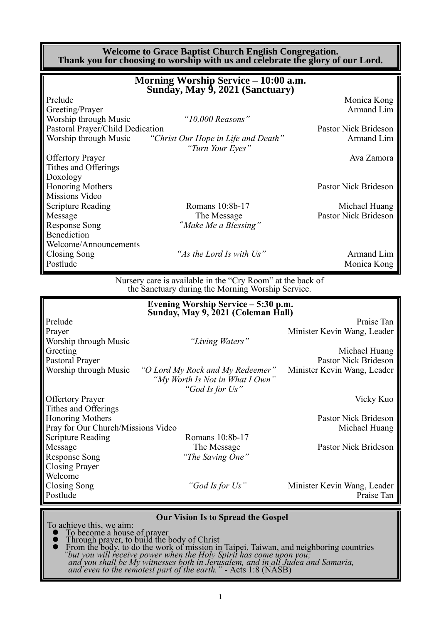|                                                           | <b>Welcome to Grace Baptist Church English Congregation.</b><br>Thank you for choosing to worship with us and celebrate the glory of our Lord. |                                       |
|-----------------------------------------------------------|------------------------------------------------------------------------------------------------------------------------------------------------|---------------------------------------|
|                                                           | Morning Worship Service – 10:00 a.m.<br>Sunday, May 9, 2021 (Sanctuary)                                                                        |                                       |
| Prelude<br>Greeting/Prayer                                |                                                                                                                                                | Monica Kong<br>Armand Lim             |
| Worship through Music<br>Pastoral Prayer/Child Dedication | " $10,000$ Reasons"                                                                                                                            | Pastor Nick Brideson                  |
| Worship through Music                                     | "Christ Our Hope in Life and Death"<br>"Turn Your Eyes"                                                                                        | Armand Lim                            |
| <b>Offertory Prayer</b><br>Tithes and Offerings           |                                                                                                                                                | Ava Zamora                            |
| Doxology<br><b>Honoring Mothers</b><br>Missions Video     |                                                                                                                                                | Pastor Nick Brideson                  |
| <b>Scripture Reading</b><br>Message                       | Romans 10:8b-17<br>The Message                                                                                                                 | Michael Huang<br>Pastor Nick Brideson |
| <b>Response Song</b><br>Benediction                       | "Make Me a Blessing"                                                                                                                           |                                       |
| Welcome/Announcements<br>Closing Song                     | "As the Lord Is with Us"                                                                                                                       | Armand Lim                            |

Postlude Monica Kong November 2012

Nursery care is available in the "Cry Room" at the back of the Sanctuary during the Morning Worship Service.

|                                    | Evening Worship Service - 5:30 p.m.<br>Sunday, May 9, 2021 (Coleman Hall) |                                           |
|------------------------------------|---------------------------------------------------------------------------|-------------------------------------------|
| Prelude                            |                                                                           | Praise Tan                                |
| Prayer                             |                                                                           | Minister Kevin Wang, Leader               |
| Worship through Music              | "Living Waters"                                                           |                                           |
| Greeting                           |                                                                           | Michael Huang                             |
| Pastoral Prayer                    |                                                                           | <b>Pastor Nick Brideson</b>               |
| Worship through Music              | "O Lord My Rock and My Redeemer"<br>"My Worth Is Not in What I Own"       | Minister Kevin Wang, Leader               |
|                                    | "God Is for Us"                                                           |                                           |
| <b>Offertory Prayer</b>            |                                                                           | Vicky Kuo                                 |
| Tithes and Offerings               |                                                                           |                                           |
| <b>Honoring Mothers</b>            |                                                                           | Pastor Nick Brideson                      |
| Pray for Our Church/Missions Video |                                                                           | Michael Huang                             |
| Scripture Reading                  | Romans 10:8b-17                                                           |                                           |
| Message                            | The Message                                                               | Pastor Nick Brideson                      |
| Response Song                      | "The Saving One"                                                          |                                           |
| <b>Closing Prayer</b>              |                                                                           |                                           |
| Welcome                            |                                                                           |                                           |
| Closing Song<br>Postlude           | "God Is for Us"                                                           | Minister Kevin Wang, Leader<br>Praise Tan |

#### **Our Vision Is to Spread the Gospel**

To achieve this, we aim:

⚫ To become a house of prayer ⚫ Through prayer, to build the body of Christ

⚫ From the body, to do the work of mission in Taipei, Taiwan, and neighboring countries *"but you will receive power when the Holy Spirit has come upon you; and you shall be My witnesses both in Jerusalem, and in all Judea and Samaria, and even to the remotest part of the earth." -* Acts 1:8 (NASB)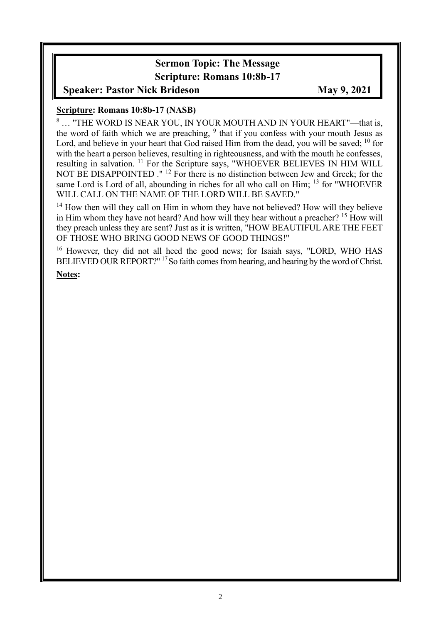## **Sermon Topic: The Message Scripture: Romans 10:8b-17**

## **Speaker: Pastor Nick Brideson May 9, 2021**

### **Scripture: Romans 10:8b-17 (NASB)**

<sup>8</sup> … "THE WORD IS NEAR YOU, IN YOUR MOUTH AND IN YOUR HEART"—that is, the word of faith which we are preaching,  $9$  that if you confess with your mouth Jesus as Lord, and believe in your heart that God raised Him from the dead, you will be saved; <sup>10</sup> for with the heart a person believes, resulting in righteousness, and with the mouth he confesses, resulting in salvation. <sup>11</sup> For the Scripture says, "WHOEVER BELIEVES IN HIM WILL NOT BE DISAPPOINTED ." <sup>12</sup> For there is no distinction between Jew and Greek; for the same Lord is Lord of all, abounding in riches for all who call on Him; <sup>13</sup> for "WHOEVER WILL CALL ON THE NAME OF THE LORD WILL BE SAVED."

<sup>14</sup> How then will they call on Him in whom they have not believed? How will they believe in Him whom they have not heard? And how will they hear without a preacher? <sup>15</sup> How will they preach unless they are sent? Just as it is written, "HOW BEAUTIFUL ARE THE FEET OF THOSE WHO BRING GOOD NEWS OF GOOD THINGS!"

<sup>16</sup> However, they did not all heed the good news; for Isaiah says, "LORD, WHO HAS BELIEVED OUR REPORT?"<sup>17</sup> So faith comes from hearing, and hearing by the word of Christ.

**Notes:**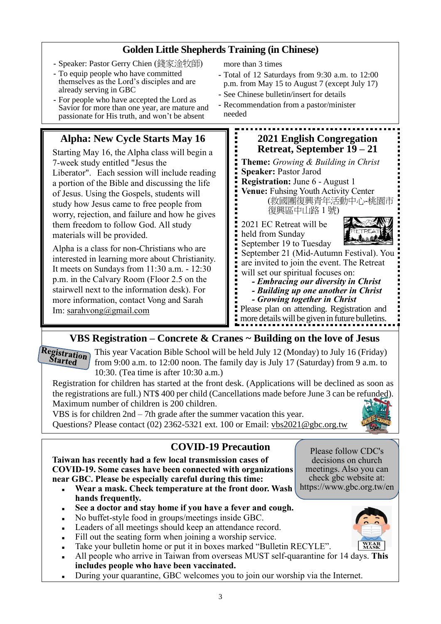## **Golden Little Shepherds Training (in Chinese)**

- **-** Speaker: Pastor Gerry Chien (錢家淦牧師)
- **-** To equip people who have committed themselves as the Lord's disciples and are already serving in GBC
- **-** For people who have accepted the Lord as Savior for more than one year, are mature and passionate for His truth, and won't be absent

## **Alpha: New Cycle Starts May 16**

Starting May 16, the Alpha class will begin a 7-week study entitled "Jesus the Liberator". Each session will include reading a portion of the Bible and discussing the life of Jesus. Using the Gospels, students will study how Jesus came to free people from worry, rejection, and failure and how he gives them freedom to follow God. All study materials will be provided.

Alpha is a class for non-Christians who are interested in learning more about Christianity. It meets on Sundays from 11:30 a.m. - 12:30 p.m. in the Calvary Room (Floor 2.5 on the stairwell next to the information desk). For more information, contact Vong and Sarah Im: [sarahvong@gmail.com](mailto:sarahvong@gmail.com)

more than 3 times

- **-** Total of 12 Saturdays from 9:30 a.m. to 12:00 p.m. from May 15 to August 7 (except July 17)
- **-** See Chinese bulletin/insert for details
- **-** Recommendation from a pastor/minister needed



## **VBS Registration – Concrete & Cranes ~ Building on the love of Jesus**

**Registration Started** 

This year Vacation Bible School will be held July 12 (Monday) to July 16 (Friday) from 9:00 a.m. to 12:00 noon. The family day is July 17 (Saturday) from 9 a.m. to 10:30. (Tea time is after 10:30 a.m.)

Registration for children has started at the front desk. (Applications will be declined as soon as the registrations are full.) NT\$ 400 per child (Cancellations made before June 3 can be refunded). Maximum number of children is 200 children.

VBS is for children 2nd – 7th grade after the summer vacation this year. Questions? Please contact (02) 2362-5321 ext. 100 or Email: vbs2021@gbc.org.tw

## **COVID-19 Precaution**

**Taiwan has recently had a few local transmission cases of COVID-19. Some cases have been connected with organizations near GBC. Please be especially careful during this time:** 

- <sup>◼</sup> **Wear a mask. Check temperature at the front door. Wash hands frequently.**
- See a doctor and stay home if you have a fever and cough.
- No buffet-style food in groups/meetings inside GBC.
- Leaders of all meetings should keep an attendance record.
- Fill out the seating form when joining a worship service.
- Take your bulletin home or put it in boxes marked "Bulletin RECYLE".
- <sup>◼</sup> All people who arrive in Taiwan from overseas MUST self-quarantine for 14 days. **This includes people who have been vaccinated.**
- During your quarantine, GBC welcomes you to join our worship via the Internet.

Please follow CDC's decisions on church meetings. Also you can check gbc website at: https://www.gbc.org.tw/en

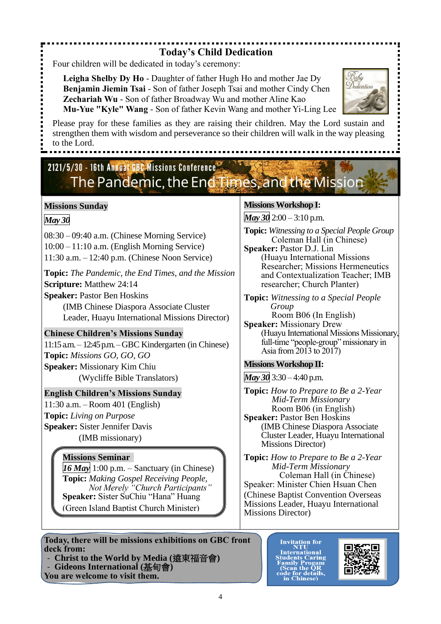## **Today's Child Dedication**

Four children will be dedicated in today's ceremony:

**Leigha Shelby Dy Ho** - Daughter of father Hugh Ho and mother Jae Dy **Benjamin Jiemin Tsai** - Son of father Joseph Tsai and mother Cindy Chen **Zechariah Wu** - Son of father Broadway Wu and mother Aline Kao **Mu-Yue "Kyle" Wang** - Son of father Kevin Wang and mother Yi-Ling Lee



# 2121/5/30 - 16th Annual GBC Missions Conference The Pandemic, the End Times, and the Mission

### **Missions Sunday**

*May 30*

08:30 – 09:40 a.m. (Chinese Morning Service) 10:00 – 11:10 a.m. (English Morning Service) 11:30 a.m. – 12:40 p.m. (Chinese Noon Service)

**Topic:** *The Pandemic, the End Times, and the Mission* **Scripture:** Matthew 24:14

**Speaker:** Pastor Ben Hoskins

(IMB Chinese Diaspora Associate Cluster Leader, Huayu International Missions Director)

### **Chinese Children's Missions Sunday**

11:15 a.m. – 12:45 p.m. –GBC Kindergarten (in Chinese) **Topic:** *Missions GO, GO, GO* **Speaker:** Missionary Kim Chiu (Wycliffe Bible Translators)

### **English Children's Missions Sunday**

11:30 a.m. – Room 401 (English) **Topic:** *Living on Purpose* **Speaker:** Sister Jennifer Davis (IMB missionary)

### **Missions Seminar**

*16 May* 1:00 p.m. – Sanctuary (in Chinese) **Topic:** *Making Gospel Receiving People, Not Merely "Church Participants"* **Speaker:** Sister SuChiu "Hana" Huang (Green Island Baptist Church Minister)

**Today, there will be missions exhibitions on GBC front deck from:**

- **Christ to the World by Media (**遠東福音會**)** - **Gideons International (**基甸會**)**

**You are welcome to visit them.**

### **Missions Workshop I:**

*May 30* 2:00 – 3:10 p.m.

**Topic:** *Witnessing to a Special People Group* Coleman Hall (in Chinese)

**Speaker:** Pastor D.J. Lin (Huayu International Missions Researcher; Missions Hermeneutics and Contextualization Teacher; IMB researcher; Church Planter)

**Topic:** *Witnessing to a Special People Group* Room B06 (In English)

**Speaker:** Missionary Drew (Huayu International Missions Missionary, full-time "people-group" missionary in Asia from 2013 to 2017)

### **Missions Workshop II:**

*May 30* 3:30 – 4:40 p.m.

**Topic:** *How to Prepare to Be a 2-Year Mid-Term Missionary* Room B06 (in English) **Speaker:** Pastor Ben Hoskins (IMB Chinese Diaspora Associate Cluster Leader, Huayu International Missions Director)

**Topic:** *How to Prepare to Be a 2-Year Mid-Term Missionary* Coleman Hall (in Chinese) Speaker: Minister Chien Hsuan Chen (Chinese Baptist Convention Overseas Missions Leader, Huayu International Missions Director)

**Invitation for<br>NTU<br>International<br>Students Caring<br>Family Progam<br>Cocan the QR<br>code for details,<br>in Chinese)** 



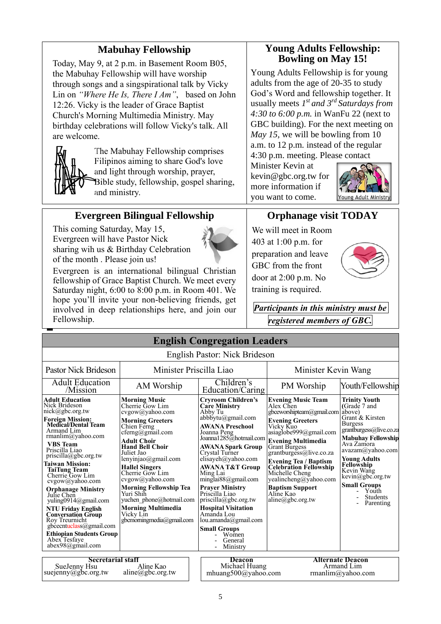## **Mabuhay Fellowship**

Today, May 9, at 2 p.m. in Basement Room B05, the Mabuhay Fellowship will have worship through songs and a singspirational talk by Vicky Lin on *"Where He Is, There I Am"*, based on John 12:26. Vicky is the leader of Grace Baptist Church's Morning Multimedia Ministry. May birthday celebrations will follow Vicky's talk. All are welcome.

**Evergreen Bilingual Fellowship**

Evergreen is an international bilingual Christian fellowship of Grace Baptist Church. We meet every Saturday night, 6:00 to 8:00 p.m. in Room 401. We hope you'll invite your non-believing friends, get involved in deep relationships here, and join our

This coming Saturday, May 15, Evergreen will have Pastor Nick

of the month . Please join us!

sharing wih us & Birthday Celebration



Fellowship.

◼

The Mabuhay Fellowship comprises Filipinos aiming to share God's love and light through worship, prayer, Bible study, fellowship, gospel sharing, and ministry.

### **Young Adults Fellowship: Bowling on May 15!**

Young Adults Fellowship is for young adults from the age of 20-35 to study God's Word and fellowship together. It usually meets *1 st and 3rd Saturdays from 4:30 to 6:00 p.m.* in WanFu 22 (next to GBC building). For the next meeting on *May 15*, we will be bowling from 10 a.m. to 12 p.m*.* instead of the regular 4:30 p.m. meeting. Please contact

Minister Kevin at kevin@gbc.org.tw for more information if you want to come.



## **Orphanage visit TODAY**

We will meet in Room 403 at 1:00 p.m. for preparation and leave GBC from the front door at 2:00 p.m. No training is required.



*Participants in this ministry must be registered members of GBC.*

|                                                                                                                                                                                                                                                                                                                                                                                                                                                                                                                                                                   |                                                                                                                                                                                                                                                                                                                                                                                                                               | <b>English Congregation Leaders</b>                                                                                                                                                                                                                                                                                                                                                                                                                                                                      |                                                                                                                                                                                                                                                                                                                                                                                        |                                                                                                                                                                                                                                                                                                                      |
|-------------------------------------------------------------------------------------------------------------------------------------------------------------------------------------------------------------------------------------------------------------------------------------------------------------------------------------------------------------------------------------------------------------------------------------------------------------------------------------------------------------------------------------------------------------------|-------------------------------------------------------------------------------------------------------------------------------------------------------------------------------------------------------------------------------------------------------------------------------------------------------------------------------------------------------------------------------------------------------------------------------|----------------------------------------------------------------------------------------------------------------------------------------------------------------------------------------------------------------------------------------------------------------------------------------------------------------------------------------------------------------------------------------------------------------------------------------------------------------------------------------------------------|----------------------------------------------------------------------------------------------------------------------------------------------------------------------------------------------------------------------------------------------------------------------------------------------------------------------------------------------------------------------------------------|----------------------------------------------------------------------------------------------------------------------------------------------------------------------------------------------------------------------------------------------------------------------------------------------------------------------|
|                                                                                                                                                                                                                                                                                                                                                                                                                                                                                                                                                                   |                                                                                                                                                                                                                                                                                                                                                                                                                               | English Pastor: Nick Brideson                                                                                                                                                                                                                                                                                                                                                                                                                                                                            |                                                                                                                                                                                                                                                                                                                                                                                        |                                                                                                                                                                                                                                                                                                                      |
| Pastor Nick Brideson                                                                                                                                                                                                                                                                                                                                                                                                                                                                                                                                              | Minister Priscilla Liao                                                                                                                                                                                                                                                                                                                                                                                                       |                                                                                                                                                                                                                                                                                                                                                                                                                                                                                                          | Minister Kevin Wang                                                                                                                                                                                                                                                                                                                                                                    |                                                                                                                                                                                                                                                                                                                      |
| <b>Adult Education</b><br>/Mission                                                                                                                                                                                                                                                                                                                                                                                                                                                                                                                                | AM Worship                                                                                                                                                                                                                                                                                                                                                                                                                    | Children's<br>Education/Caring                                                                                                                                                                                                                                                                                                                                                                                                                                                                           | PM Worship                                                                                                                                                                                                                                                                                                                                                                             | Youth/Fellowship                                                                                                                                                                                                                                                                                                     |
| <b>Adult Education</b><br>Nick Brideson<br>$nick(\theta)$ gbc.org.tw<br><b>Foreign Mission:</b><br>Medical/Dental Team<br>Armand Lim<br>rmanlim@yahoo.com<br><b>VBS</b> Team<br>Priscilla Liao<br>priscilla@gbc.org.tw<br><b>Taiwan Mission:</b><br><b>TaiTung Team</b><br>Cherrie Gow Lim<br>cvgow@yahoo.com<br><b>Orphanage Ministry</b><br>Julie Chen<br>yuling0914@gmail.com<br><b>NTU Friday English</b><br><b>Conversation Group</b><br>Roy Treurnicht<br>gbcecntuclass@gmail.com<br><b>Ethiopian Students Group</b><br>Abex Tesfaye<br>$abex98$ @gmail.com | <b>Morning Music</b><br>Cherrie Gow Lim<br>cvgow@yahoo.com<br><b>Morning Greeters</b><br>Chien Ferng<br>cferng@gmail.com<br><b>Adult Choir</b><br><b>Hand Bell Choir</b><br>Juliet Jao<br>lenyinjao@gmail.com<br><b>Hallel Singers</b><br>Cherrie Gow Lim<br>cvgow@yahoo.com<br><b>Morning Fellowship Tea</b><br>Yuri Shih<br>yuchen_phone@hotmail.com<br><b>Morning Multimedia</b><br>Vicky Lin<br>gbcmorningmedia@gmail.com | <b>Cryroom Children's</b><br><b>Care Ministry</b><br>Abby Tu<br>abbbytu@gmail.com<br><b>AWANA Preschool</b><br>Joanna Peng<br>Joanna1285@hotmail.com<br><b>AWANA Spark Group</b><br>Crystal Turner<br>elisayeh@yahoo.com<br><b>AWANA T&amp;T Group</b><br>Ming Lai<br>minglai $88$ @gmail.com<br><b>Prayer Ministry</b><br>Priscilla Liao<br>$priscilla(\partial gbc.org.tw)$<br><b>Hospital Visitation</b><br>Amanda Lou<br>lou.amanda@gmail.com<br><b>Small Groups</b><br>Women<br>General<br>Ministry | <b>Evening Music Team</b><br>Alex Chen<br>gbceworshipteam@gmail.com<br><b>Evening Greeters</b><br>Vicky Kuo<br>asiaglobe999@gmail.com<br><b>Evening Multimedia</b><br><b>Grant Burgess</b><br>grantburgess@live.co.za<br><b>Evening Tea / Baptism<br/>Celebration Fellowship</b><br>Michelle Cheng<br>yealincheng@yahoo.com<br><b>Baptism Support</b><br>Aline Kao<br>aline@abc.org.tw | <b>Trinity Youth</b><br>(Grade 7 and<br>above)<br>Grant & Kirsten<br><b>Burgess</b><br>grantburgess@live.co.za<br><b>Mabuhay Fellowship</b><br>Ava Zamora<br>avazam@yahoo.com<br><b>Young Adults</b><br>Fellowship<br>Kevin Wang<br>kevin@gbc.org.tw<br><b>Small Groups</b><br>Youth<br><b>Students</b><br>Parenting |
| <b>Secretarial staff</b><br>SueJenny Hsu                                                                                                                                                                                                                                                                                                                                                                                                                                                                                                                          | Aline Kao                                                                                                                                                                                                                                                                                                                                                                                                                     | <b>Deacon</b><br>Michael Huang                                                                                                                                                                                                                                                                                                                                                                                                                                                                           |                                                                                                                                                                                                                                                                                                                                                                                        | <b>Alternate Deacon</b><br>Armand Lim                                                                                                                                                                                                                                                                                |

Michael Huang mhuang500@yahoo.com rmanlim@yahoo.com SueJenny Hsu suejenny@gbc.org.tw Aline Kao aline@gbc.org.tw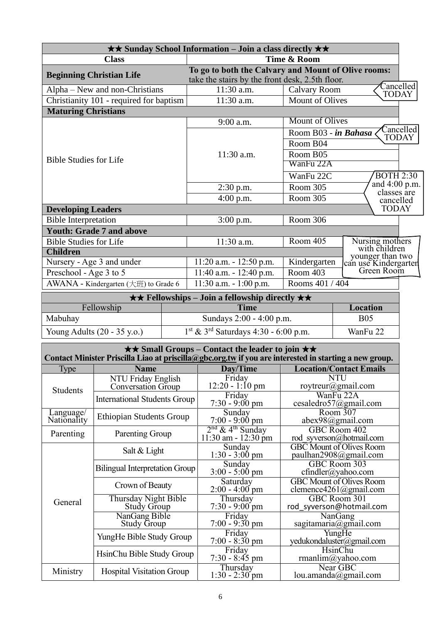|                                         | $\star\star$ Sunday School Information – Join a class directly $\star\star$                            |                        |                                                        |
|-----------------------------------------|--------------------------------------------------------------------------------------------------------|------------------------|--------------------------------------------------------|
| <b>Class</b>                            |                                                                                                        | Time & Room            |                                                        |
| <b>Beginning Christian Life</b>         | To go to both the Calvary and Mount of Olive rooms:<br>take the stairs by the front desk, 2.5th floor. |                        |                                                        |
| Alpha – New and non-Christians          | $11:30$ a.m.                                                                                           | <b>Calvary Room</b>    | Cancelled<br><b>TODAY</b>                              |
| Christianity 101 - required for baptism | 11:30 a.m.                                                                                             | <b>Mount of Olives</b> |                                                        |
| <b>Maturing Christians</b>              |                                                                                                        |                        |                                                        |
|                                         | $9:00$ a.m.                                                                                            | <b>Mount of Olives</b> |                                                        |
|                                         |                                                                                                        | Room B03 - in Bahasa   | Cancelled<br><b>TODAY</b>                              |
|                                         |                                                                                                        | Room B04               |                                                        |
|                                         | $11:30$ a.m.                                                                                           | Room B05               |                                                        |
| <b>Bible Studies for Life</b>           |                                                                                                        | WanFu 22A              |                                                        |
|                                         |                                                                                                        | WanFu 22C              | <b>BOTH 2:30</b>                                       |
|                                         | $2:30$ p.m.                                                                                            | Room 305               | and 4:00 p.m.<br>classes are                           |
|                                         | $4:00$ p.m.                                                                                            | Room 305               | cancelled                                              |
| <b>Developing Leaders</b>               |                                                                                                        |                        | <b>TODAY</b>                                           |
| <b>Bible Interpretation</b>             | $3:00$ p.m.                                                                                            | <b>Room 306</b>        |                                                        |
| <b>Youth: Grade 7 and above</b>         |                                                                                                        |                        |                                                        |
| <b>Bible Studies for Life</b>           | 11:30 a.m.                                                                                             | Room 405               | Nursing mothers                                        |
| <b>Children</b>                         |                                                                                                        |                        | with children                                          |
| Nursery - Age 3 and under               | $11:20$ a.m. $-12:50$ p.m.                                                                             | Kindergarten           | younger than two<br>can use Kindergarten<br>Green Room |
| Preschool - Age 3 to 5                  | $11:40$ a.m. - $12:40$ p.m.                                                                            | Room 403               |                                                        |
| AWANA - Kindergarten (大班) to Grade 6    | $11:30$ a.m. $-1:00$ p.m.                                                                              | Rooms 401 / 404        |                                                        |
|                                         | $\star \star$ Fellowships – Join a fellowship directly $\star \star$                                   |                        |                                                        |
| Fellowship                              | <b>Time</b>                                                                                            |                        | Location                                               |

| Fellowship                            | <b>Time</b>                                        | Location   |
|---------------------------------------|----------------------------------------------------|------------|
| Mabuhay                               | Sundays $2:00 - 4:00$ p.m.                         | <b>B05</b> |
| Young Adults $(20 - 35 \text{ y.o.})$ | $1st$ & 3 <sup>rd</sup> Saturdays 4:30 - 6:00 p.m. | WanFu 22   |

|                          |                                            | $\star \star$ Small Groups – Contact the leader to join $\star \star$ | Contact Minister Priscilla Liao at priscilla@gbc.org.tw if you are interested in starting a new group. |
|--------------------------|--------------------------------------------|-----------------------------------------------------------------------|--------------------------------------------------------------------------------------------------------|
| <b>Type</b>              | <b>Name</b>                                | Day/Time                                                              | <b>Location/Contact Emails</b>                                                                         |
| <b>Students</b>          | NTU Friday English<br>Conversation Group   | Friday<br>$12:20 - 1:10 \text{ pm}$                                   | <b>NTU</b><br>roytreur@gmail.com                                                                       |
|                          | <b>International Students Group</b>        | Friday<br>$7:30 - 9:00$ pm                                            | WanFu 22A<br>cesaledro57@gmail.com                                                                     |
| Language/<br>Nationality | <b>Ethiopian Students Group</b>            | Sunday<br>$7:00 - 9:00 \text{ pm}$                                    | Room 307<br>abex98@gmail.com                                                                           |
| Parenting                | Parenting Group                            | $2nd$ & 4 <sup>th</sup> Sunday<br>$11:30$ am - $12:30$ pm             | GBC Room 402<br>rod syverson@hotmail.com                                                               |
|                          | Salt $&$ Light                             | Sunday<br>$1:30 - 3:00 \text{ pm}$                                    | <b>GBC</b> Mount of Olives Room<br>paulhan2908@gmail.com                                               |
|                          | <b>Bilingual Interpretation Group</b>      | Sunday<br>$3:00 - 5:00$ pm                                            | GBC Room 303<br>$cfindler(a)$ yahoo.com                                                                |
|                          | Crown of Beauty                            | Saturday<br>$2:00 - 4:00$ pm                                          | <b>GBC</b> Mount of Olives Room<br>clemence4261@gmail.com                                              |
| General                  | Thursday Night Bible<br><b>Study Group</b> | Thursday<br>$7:30 - 9:00$ pm                                          | GBC Room 301<br>rod syverson@hotmail.com                                                               |
|                          | NanGang Bible<br><b>Study Group</b>        | Friday<br>$7:00 - 9:30$ pm                                            | NanGang<br>sagitamaria@gmail.com                                                                       |
|                          | YungHe Bible Study Group                   | Friday<br>$7:00 - 8:30$ pm                                            | YungHe<br>yedukondaluster@gmail.com                                                                    |
|                          | HsinChu Bible Study Group                  | Friday<br>$7:30 - 8:45$ pm                                            | <b>HsinChu</b><br>rmanlim@yahoo.com                                                                    |
| Ministry                 | <b>Hospital Visitation Group</b>           | Thursday<br>$1:30 - 2:30$ pm                                          | Near GBC<br>lou.amanda@gmail.com                                                                       |